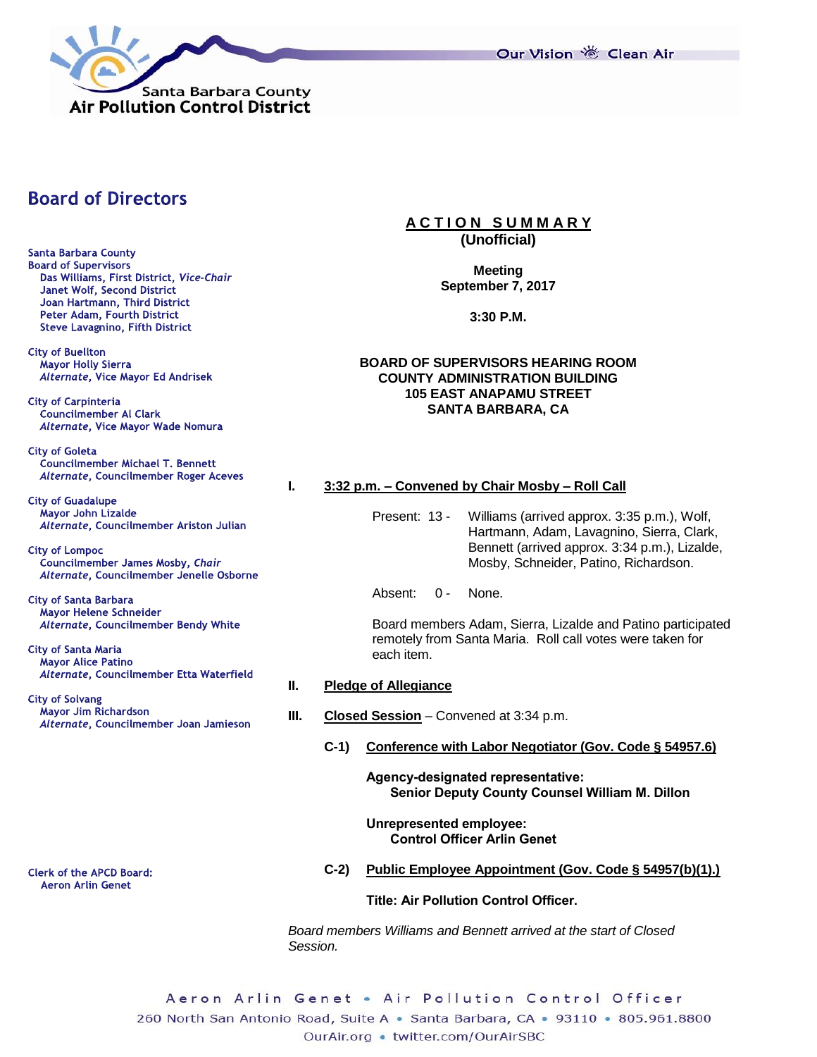

Our Vision 卷 Clean Air

# **Board of Directors**

**Santa Barbara County Board of Supervisors** Das Williams, First District, Vice-Chair Janet Wolf, Second District Joan Hartmann, Third District Peter Adam, Fourth District **Steve Lavagnino, Fifth District** 

**City of Buellton** Mayor Holly Sierra Alternate, Vice Mayor Ed Andrisek

**City of Carpinteria Councilmember Al Clark** Alternate, Vice Mayor Wade Nomura

**City of Goleta** Councilmember Michael T. Bennett Alternate, Councilmember Roger Aceves

**City of Guadalupe** Mayor John Lizalde Alternate, Councilmember Ariston Julian

**City of Lompoc** Councilmember James Mosby, Chair Alternate, Councilmember Jenelle Osborne

**City of Santa Barbara Mayor Helene Schneider** Alternate, Councilmember Bendy White

**City of Santa Maria Mayor Alice Patino** Alternate, Councilmember Etta Waterfield

**City of Solvang** Mayor Jim Richardson Alternate, Councilmember Joan Jamieson

**Clerk of the APCD Board: Aeron Arlin Genet** 

#### **A C T I O N S U M M A R Y (Unofficial)**

**Meeting September 7, 2017**

**3:30 P.M.**

## **BOARD OF SUPERVISORS HEARING ROOM COUNTY ADMINISTRATION BUILDING 105 EAST ANAPAMU STREET SANTA BARBARA, CA**

## **I. 3:32 p.m. – Convened by Chair Mosby – Roll Call**

Present: 13 - Williams (arrived approx. 3:35 p.m.), Wolf, Hartmann, Adam, Lavagnino, Sierra, Clark, Bennett (arrived approx. 3:34 p.m.), Lizalde, Mosby, Schneider, Patino, Richardson.

Absent: 0 - None.

Board members Adam, Sierra, Lizalde and Patino participated remotely from Santa Maria. Roll call votes were taken for each item.

#### **II. Pledge of Allegiance**

- **III. Closed Session** Convened at 3:34 p.m.
	- **C-1) Conference with Labor Negotiator (Gov. Code § 54957.6)**

**Agency-designated representative: Senior Deputy County Counsel William M. Dillon**

**Unrepresented employee: Control Officer Arlin Genet**

**C-2) Public Employee Appointment (Gov. Code § 54957(b)(1).)**

**Title: Air Pollution Control Officer.**

*Board members Williams and Bennett arrived at the start of Closed Session.*

Aeron Arlin Genet • Air Pollution Control Officer 260 North San Antonio Road, Suite A · Santa Barbara, CA · 93110 · 805.961.8800 OurAir.org • twitter.com/OurAirSBC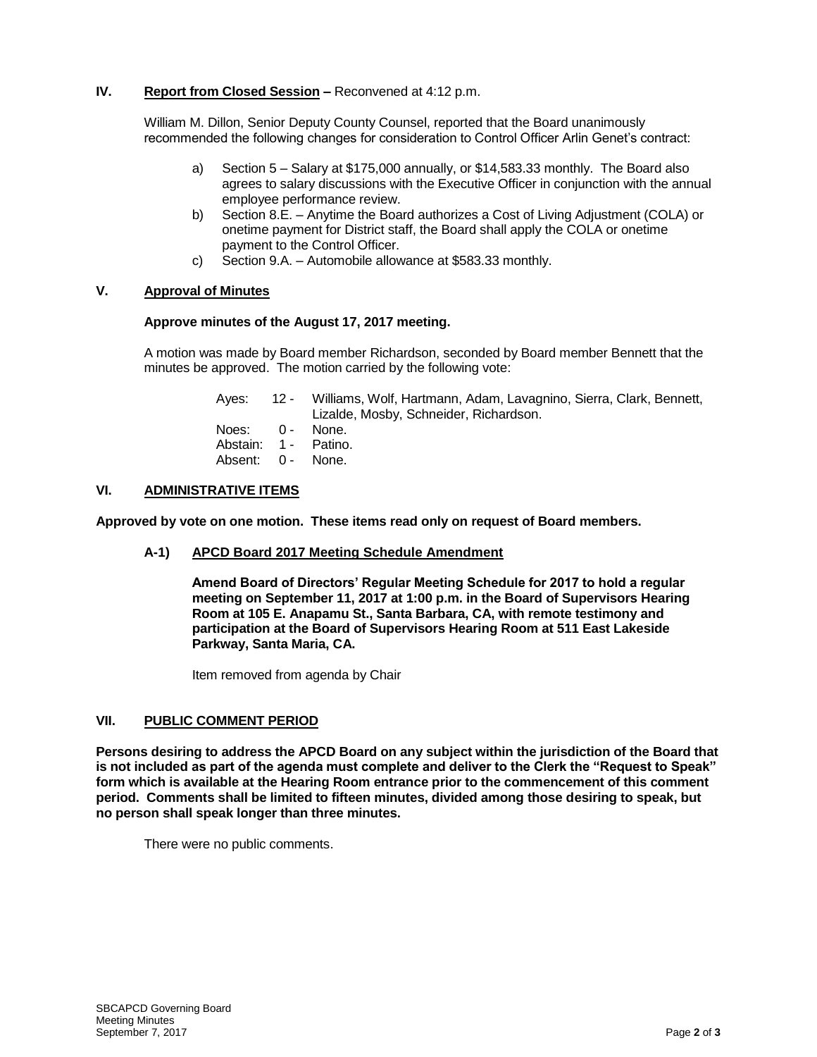## **IV. Report from Closed Session –** Reconvened at 4:12 p.m.

William M. Dillon, Senior Deputy County Counsel, reported that the Board unanimously recommended the following changes for consideration to Control Officer Arlin Genet's contract:

- a) Section 5 Salary at \$175,000 annually, or \$14,583.33 monthly. The Board also agrees to salary discussions with the Executive Officer in conjunction with the annual employee performance review.
- b) Section 8.E. Anytime the Board authorizes a Cost of Living Adjustment (COLA) or onetime payment for District staff, the Board shall apply the COLA or onetime payment to the Control Officer.
- c) Section 9.A. Automobile allowance at \$583.33 monthly.

## **V. Approval of Minutes**

## **Approve minutes of the August 17, 2017 meeting.**

A motion was made by Board member Richardson, seconded by Board member Bennett that the minutes be approved. The motion carried by the following vote:

|                      | Ayes: 12 - Williams, Wolf, Hartmann, Adam, Lavagnino, Sierra, Clark, Bennett,<br>Lizalde, Mosby, Schneider, Richardson. |
|----------------------|-------------------------------------------------------------------------------------------------------------------------|
| Noes: 0 - None.      |                                                                                                                         |
| Abstain: 1 - Patino. |                                                                                                                         |
| Absent: 0 - None.    |                                                                                                                         |

#### **VI. ADMINISTRATIVE ITEMS**

**Approved by vote on one motion. These items read only on request of Board members.**

#### **A-1) APCD Board 2017 Meeting Schedule Amendment**

**Amend Board of Directors' Regular Meeting Schedule for 2017 to hold a regular meeting on September 11, 2017 at 1:00 p.m. in the Board of Supervisors Hearing Room at 105 E. Anapamu St., Santa Barbara, CA, with remote testimony and participation at the Board of Supervisors Hearing Room at 511 East Lakeside Parkway, Santa Maria, CA.**

Item removed from agenda by Chair

#### **VII. PUBLIC COMMENT PERIOD**

**Persons desiring to address the APCD Board on any subject within the jurisdiction of the Board that is not included as part of the agenda must complete and deliver to the Clerk the "Request to Speak" form which is available at the Hearing Room entrance prior to the commencement of this comment period. Comments shall be limited to fifteen minutes, divided among those desiring to speak, but no person shall speak longer than three minutes.**

There were no public comments.